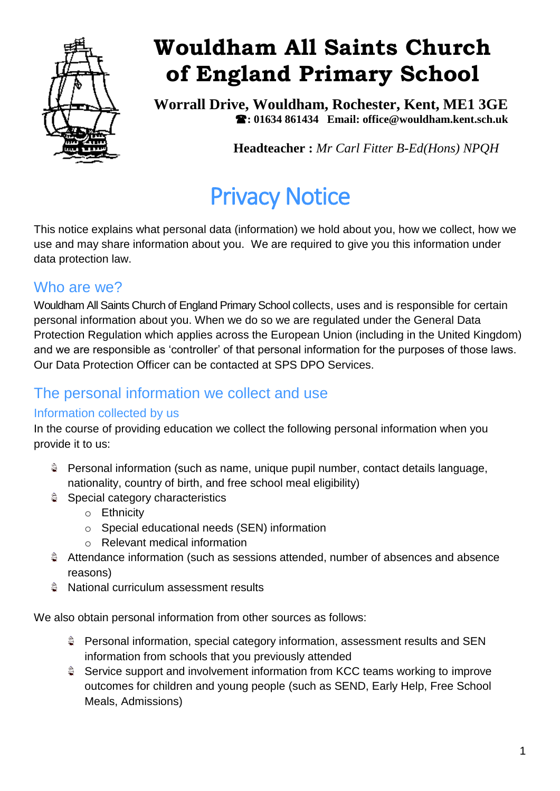

## **Wouldham All Saints Church of England Primary School**

**Worrall Drive, Wouldham, Rochester, Kent, ME1 3GE : 01634 861434 Email: office@wouldham.kent.sch.uk**

**Headteacher :** *Mr Carl Fitter B-Ed(Hons) NPQH*

# Privacy Notice

This notice explains what personal data (information) we hold about you, how we collect, how we use and may share information about you. We are required to give you this information under data protection law.

## Who are we?

Wouldham All Saints Church of England Primary School collects, uses and is responsible for certain personal information about you. When we do so we are regulated under the General Data Protection Regulation which applies across the European Union (including in the United Kingdom) and we are responsible as 'controller' of that personal information for the purposes of those laws. Our Data Protection Officer can be contacted at SPS DPO Services.

## The personal information we collect and use

#### Information collected by us

In the course of providing education we collect the following personal information when you provide it to us:

- Personal information (such as name, unique pupil number, contact details language, nationality, country of birth, and free school meal eligibility)
- Special category characteristics
	- o Ethnicity
	- o Special educational needs (SEN) information
	- o Relevant medical information
- Attendance information (such as sessions attended, number of absences and absence reasons)
- National curriculum assessment results

We also obtain personal information from other sources as follows:

- Personal information, special category information, assessment results and SEN information from schools that you previously attended
- Service support and involvement information from KCC teams working to improve outcomes for children and young people (such as SEND, Early Help, Free School Meals, Admissions)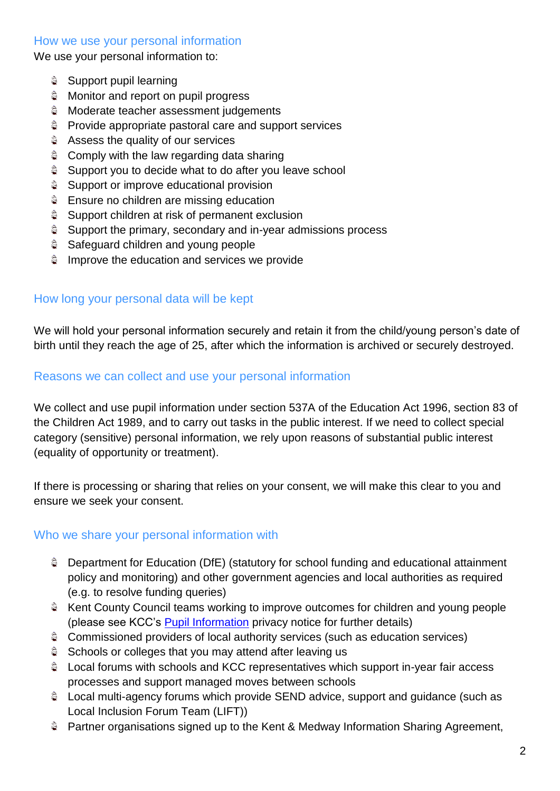#### How we use your personal information

We use your personal information to:

- Support pupil learning
- **Monitor and report on pupil progress**
- **Moderate teacher assessment judgements**
- Provide appropriate pastoral care and support services
- **Assess the quality of our services**
- **Comply with the law regarding data sharing**
- Support you to decide what to do after you leave school
- े हैं। Support or improve educational provision
- **Ensure no children are missing education**
- $$$  Support children at risk of permanent exclusion
- Support the primary, secondary and in-year admissions process
- **Safeguard children and young people**
- **E** Improve the education and services we provide

#### How long your personal data will be kept

We will hold your personal information securely and retain it from the child/young person's date of birth until they reach the age of 25, after which the information is archived or securely destroyed.

#### Reasons we can collect and use your personal information

We collect and use pupil information under section 537A of the Education Act 1996, section 83 of the Children Act 1989, and to carry out tasks in the public interest. If we need to collect special category (sensitive) personal information, we rely upon reasons of substantial public interest (equality of opportunity or treatment).

If there is processing or sharing that relies on your consent, we will make this clear to you and ensure we seek your consent.

#### Who we share your personal information with

- Department for Education (DfE) (statutory for school funding and educational attainment policy and monitoring) and other government agencies and local authorities as required (e.g. to resolve funding queries)
- Kent County Council teams working to improve outcomes for children and young people (please see KCC's [Pupil Information](https://www.kent.gov.uk/about-the-council/information-and-data/access-to-information/gdpr-privacy-notices/education/pupil-information-privacy-notice) privacy notice for further details)
- Commissioned providers of local authority services (such as education services)
- Schools or colleges that you may attend after leaving us
- Local forums with schools and KCC representatives which support in-year fair access processes and support managed moves between schools
- Local multi-agency forums which provide SEND advice, support and guidance (such as Local Inclusion Forum Team (LIFT))
- Partner organisations signed up to the Kent & Medway Information Sharing Agreement,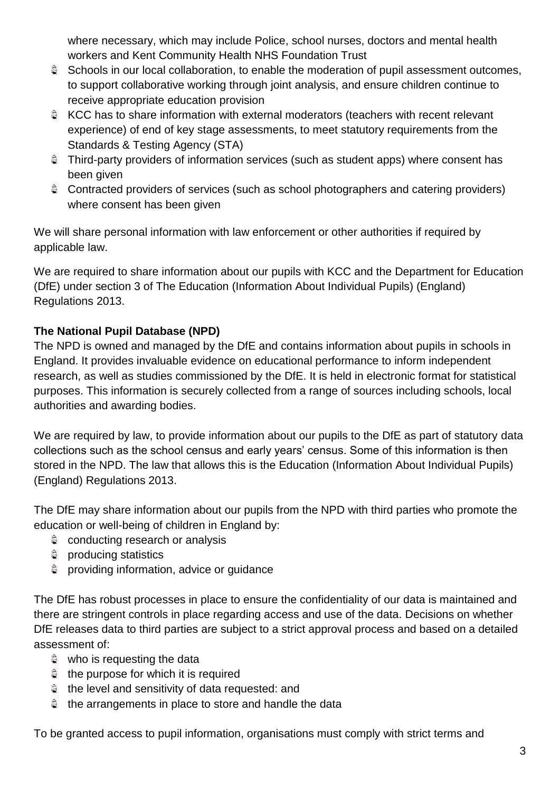where necessary, which may include Police, school nurses, doctors and mental health workers and Kent Community Health NHS Foundation Trust

- Schools in our local collaboration, to enable the moderation of pupil assessment outcomes, to support collaborative working through joint analysis, and ensure children continue to receive appropriate education provision
- KCC has to share information with external moderators (teachers with recent relevant experience) of end of key stage assessments, to meet statutory requirements from the Standards & Testing Agency (STA)
- Third-party providers of information services (such as student apps) where consent has been given
- Contracted providers of services (such as school photographers and catering providers) where consent has been given

We will share personal information with law enforcement or other authorities if required by applicable law.

We are required to share information about our pupils with KCC and the Department for Education (DfE) under section 3 of The Education (Information About Individual Pupils) (England) Regulations 2013.

#### **The National Pupil Database (NPD)**

The NPD is owned and managed by the DfE and contains information about pupils in schools in England. It provides invaluable evidence on educational performance to inform independent research, as well as studies commissioned by the DfE. It is held in electronic format for statistical purposes. This information is securely collected from a range of sources including schools, local authorities and awarding bodies.

We are required by law, to provide information about our pupils to the DfE as part of statutory data collections such as the school census and early years' census. Some of this information is then stored in the NPD. The law that allows this is the Education (Information About Individual Pupils) (England) Regulations 2013.

The DfE may share information about our pupils from the NPD with third parties who promote the education or well-being of children in England by:

- $\hat{S}$  conducting research or analysis
- **producing statistics**
- $$$  providing information, advice or guidance

The DfE has robust processes in place to ensure the confidentiality of our data is maintained and there are stringent controls in place regarding access and use of the data. Decisions on whether DfE releases data to third parties are subject to a strict approval process and based on a detailed assessment of:

- who is requesting the data
- the purpose for which it is required
- $\hat{a}$  the level and sensitivity of data requested: and
- $\hat{a}$  the arrangements in place to store and handle the data

To be granted access to pupil information, organisations must comply with strict terms and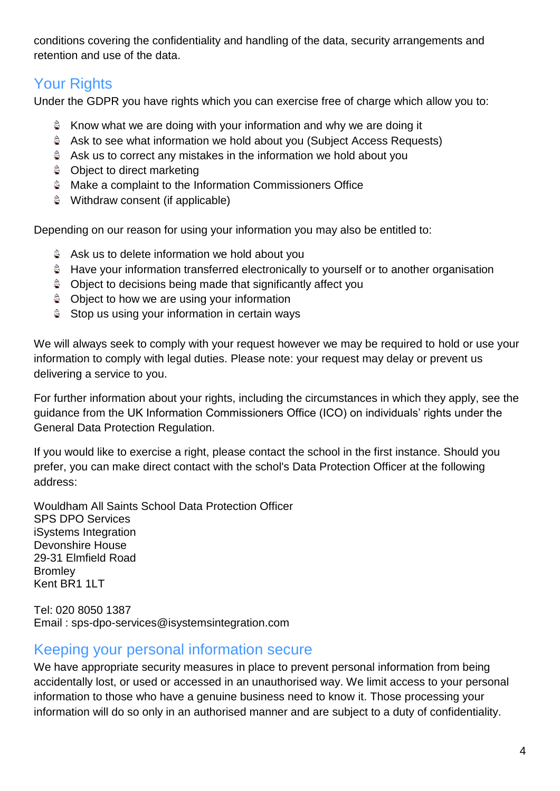conditions covering the confidentiality and handling of the data, security arrangements and retention and use of the data.

## Your Rights

Under the GDPR you have rights which you can exercise free of charge which allow you to:

- $\hat{P}$  Know what we are doing with your information and why we are doing it
- Ask to see what information we hold about you (Subject Access Requests)
- Ask us to correct any mistakes in the information we hold about you
- **Object to direct marketing**
- **Make a complaint to the Information Commissioners Office**
- $\hat{P}$  Withdraw consent (if applicable)

Depending on our reason for using your information you may also be entitled to:

- **Ask us to delete information we hold about you**
- Have your information transferred electronically to yourself or to another organisation
- **Object to decisions being made that significantly affect you**
- **Object to how we are using your information**
- $$$  Stop us using your information in certain ways

We will always seek to comply with your request however we may be required to hold or use your information to comply with legal duties. Please note: your request may delay or prevent us delivering a service to you.

For further information about your rights, including the circumstances in which they apply, see the guidance from the UK Information Commissioners Office (ICO) on individuals' rights under the General Data Protection Regulation.

If you would like to exercise a right, please contact the school in the first instance. Should you prefer, you can make direct contact with the schol's Data Protection Officer at the following address:

Wouldham All Saints School Data Protection Officer SPS DPO Services iSystems Integration Devonshire House 29-31 Elmfield Road **Bromley** Kent BR1 1LT

Tel: 020 8050 1387 Email : sps-dpo-services@isystemsintegration.com

### Keeping your personal information secure

We have appropriate security measures in place to prevent personal information from being accidentally lost, or used or accessed in an unauthorised way. We limit access to your personal information to those who have a genuine business need to know it. Those processing your information will do so only in an authorised manner and are subject to a duty of confidentiality.